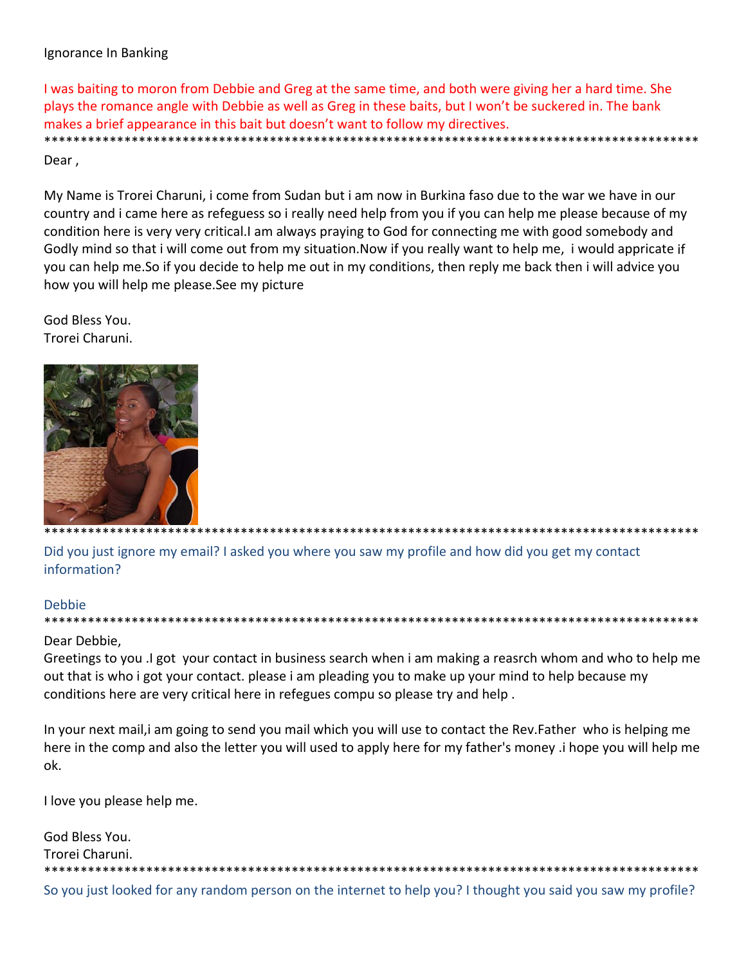## Ignorance In Banking

I was baiting to moron from Debbie and Greg at the same time, and both were giving her a hard time. She plays the romance angle with Debbie as well as Greg in these baits, but I won't be suckered in. The bank makes a brief appearance in this bait but doesn't want to follow my directives.

#### Dear,

My Name is Trorei Charuni, i come from Sudan but i am now in Burkina faso due to the war we have in our country and i came here as refeguess so i really need help from you if you can help me please because of my condition here is very very critical. I am always praying to God for connecting me with good somebody and Godly mind so that i will come out from my situation. Now if you really want to help me, i would appricate if you can help me.So if you decide to help me out in my conditions, then reply me back then i will advice you how you will help me please. See my picture

God Bless You. Trorei Charuni.



\*\*\*\*\*\*\*\*\*\*\*\*\*\*\*\*\*\*\*\* \*\*\*\*\*\*\*\*\*\*\*\*\*\*\*\*\*\*\*\*\*\*\*

Did you just ignore my email? I asked you where you saw my profile and how did you get my contact information?

#### **Debbie**

## Dear Debbie,

Greetings to you .I got your contact in business search when i am making a reasrch whom and who to help me out that is who i got your contact. please i am pleading you to make up your mind to help because my conditions here are very critical here in refegues compu so please try and help.

In your next mail, i am going to send you mail which you will use to contact the Rev. Father who is helping me here in the comp and also the letter you will used to apply here for my father's money i hope you will help me ok.

I love you please help me.

| God Bless You.                                                                                               |
|--------------------------------------------------------------------------------------------------------------|
| Trorei Charuni.                                                                                              |
|                                                                                                              |
| So you just looked for any random person on the internet to help you? I thought you said you saw my profile? |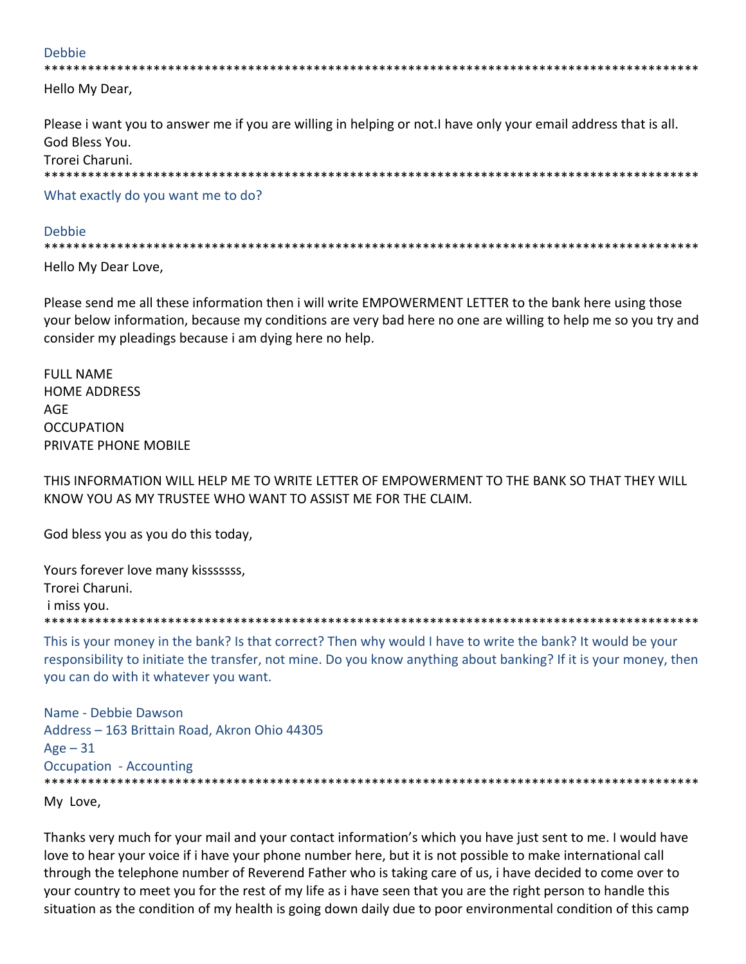#### **Debbie**

Hello My Dear,

Please i want you to answer me if you are willing in helping or not. I have only your email address that is all. God Bless You. Trorei Charuni. 

What exactly do you want me to do?

#### Debbie

Hello My Dear Love,

Please send me all these information then i will write EMPOWERMENT LETTER to the bank here using those your below information, because my conditions are very bad here no one are willing to help me so you try and consider my pleadings because i am dying here no help.

**FULL NAME HOME ADDRESS AGE OCCUPATION** PRIVATE PHONE MOBILE

THIS INFORMATION WILL HELP ME TO WRITE LETTER OF EMPOWERMENT TO THE BANK SO THAT THEY WILL KNOW YOU AS MY TRUSTEE WHO WANT TO ASSIST ME FOR THE CLAIM.

God bless you as you do this today,

Yours forever love many kissssssss, Trorei Charuni. i miss you. 

This is your money in the bank? Is that correct? Then why would I have to write the bank? It would be your responsibility to initiate the transfer, not mine. Do you know anything about banking? If it is your money, then you can do with it whatever you want.

Name - Debbie Dawson Address - 163 Brittain Road, Akron Ohio 44305  $Age - 31$ **Occupation - Accounting** 

My Love,

Thanks very much for your mail and your contact information's which you have just sent to me. I would have love to hear your voice if i have your phone number here, but it is not possible to make international call through the telephone number of Reverend Father who is taking care of us, i have decided to come over to your country to meet you for the rest of my life as i have seen that you are the right person to handle this situation as the condition of my health is going down daily due to poor environmental condition of this camp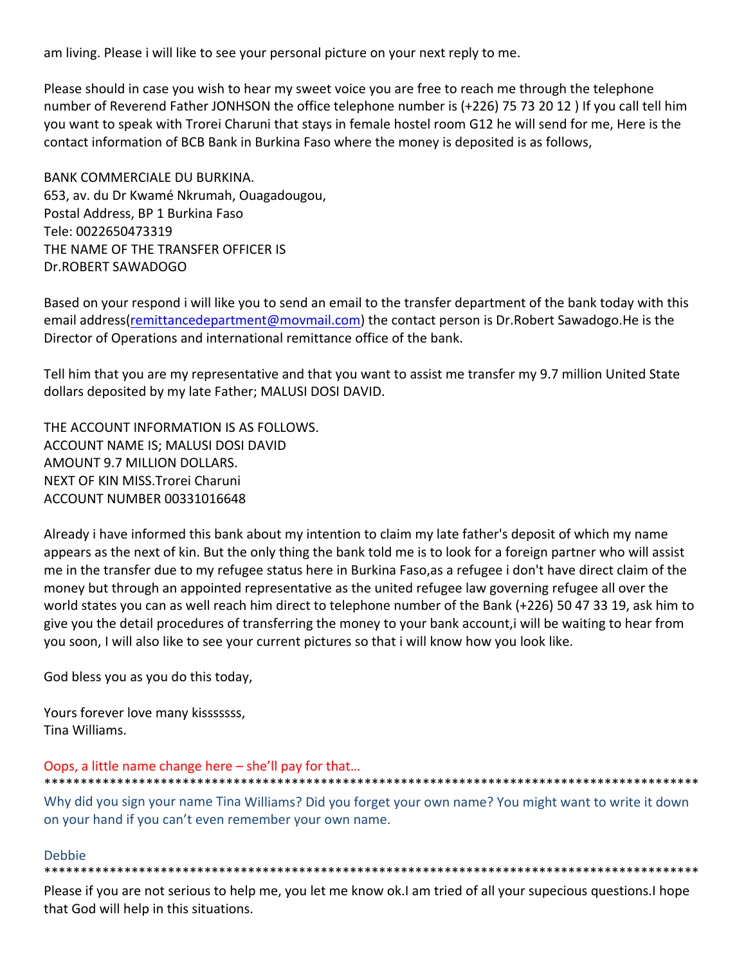am living. Please i will like to see your personal picture on your next reply to me.

Please should in case you wish to hear my sweet voice you are free to reach me through the telephone number of Reverend Father JONHSON the office telephone number is (+226) 75 73 20 12 ) If you call tell him you want to speak with Trorei Charuni that stays in female hostel room G12 he will send for me, Here is the contact information of BCB Bank in Burkina Faso where the money is deposited is as follows,

BANK COMMERCIALE DU BURKINA. 653, av. du Dr Kwamé Nkrumah, Ouagadougou, Postal Address, BP 1 Burkina Faso Tele: 0022650473319 THE NAME OF THE TRANSFER OFFICER IS Dr.ROBERT SAWADOGO

Based on your respond i will like you to send an email to the transfer department of the bank today with this email address(remittancedepartment@movmail.com) the contact person is Dr.Robert Sawadogo.He is the Director of Operations and international remittance office of the bank.

Tell him that you are my representative and that you want to assist me transfer my 9.7 million United State dollars deposited by my late Father; MALUSI DOSI DAVID.

THE ACCOUNT INFORMATION IS AS FOLLOWS. ACCOUNT NAME IS; MALUSI DOSI DAVID AMOUNT 9.7 MILLION DOLLARS. NEXT OF KIN MISS.Trorei Charuni ACCOUNT NUMBER 00331016648

Already i have informed this bank about my intention to claim my late father's deposit of which my name appears as the next of kin. But the only thing the bank told me is to look for a foreign partner who will assist me in the transfer due to my refugee status here in Burkina Faso,as a refugee i don't have direct claim of the money but through an appointed representative as the united refugee law governing refugee all over the world states you can as well reach him direct to telephone number of the Bank (+226) 50 47 33 19, ask him to give you the detail procedures of transferring the money to your bank account,i will be waiting to hear from you soon, I will also like to see your current pictures so that i will know how you look like.

God bless you as you do this today,

Yours forever love many kisssssss, Tina Williams.

## Oops, a little name change here – she'll pay for that…

Why did you sign your name Tina Williams? Did you forget your own name? You might want to write it down on your hand if you can't even remember your own name.

\*\*\*\*\*\*\*\*\*\*\*\*\*\*\*\*\*\*\*\*\*\*\*\*\*\*\*\*\*\*\*\*\*\*\*\*\*\*\*\*\*\*\*\*\*\*\*\*\*\*\*\*\*\*\*\*\*\*\*\*\*\*\*\*\*\*\*\*\*\*\*\*\*\*\*\*\*\*\*\*\*\*\*\*\*\*\*\*\*\*

#### Debbie

\*\*\*\*\*\*\*\*\*\*\*\*\*\*\*\*\*\*\*\*\*\*\*\*\*\*\*\*\*\*\*\*\*\*\*\*\*\*\*\*\*\*\*\*\*\*\*\*\*\*\*\*\*\*\*\*\*\*\*\*\*\*\*\*\*\*\*\*\*\*\*\*\*\*\*\*\*\*\*\*\*\*\*\*\*\*\*\*\*\*

Please if you are not serious to help me, you let me know ok.I am tried of all your supecious questions.I hope that God will help in this situations.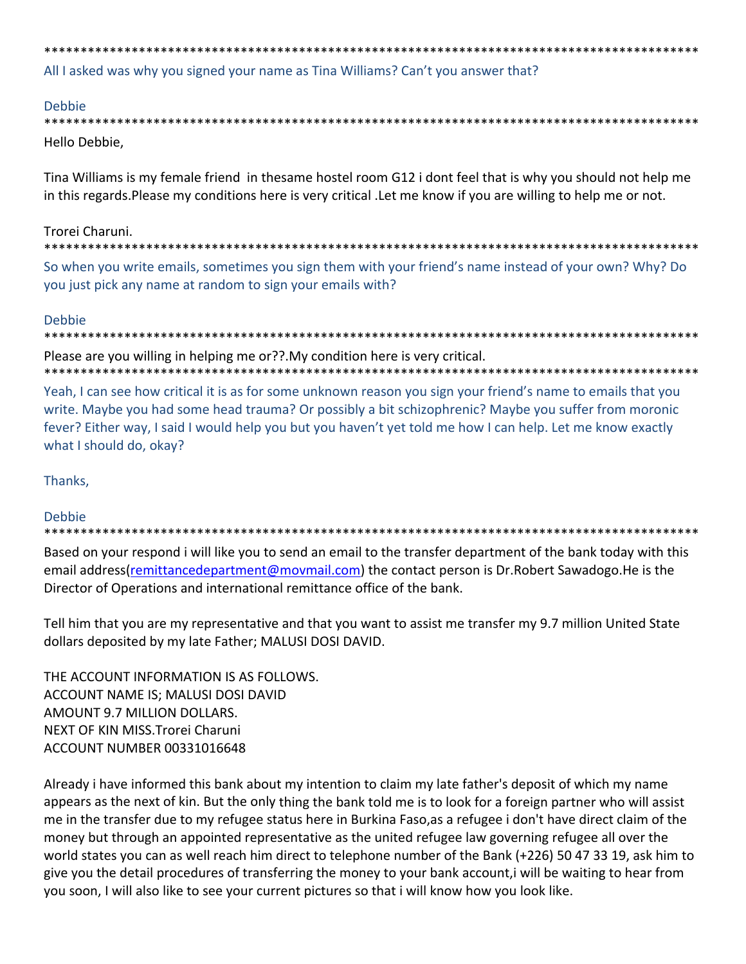All I asked was why you signed your name as Tina Williams? Can't you answer that?

you just pick any name at random to sign your emails with?

#### **Debbie**

| Hello Debbie. |  |
|---------------|--|

Tina Williams is my female friend in thesame hostel room G12 i dont feel that is why you should not help me in this regards. Please my conditions here is very critical . Let me know if you are willing to help me or not.

## Trorei Charuni.

\*\*\*\*\*\*\*\*\*\*\*\*\*\*\*\*\*\*\*\*\*\*\*\*\*\*\*\*\*\* So when you write emails, sometimes you sign them with your friend's name instead of your own? Why? Do

## **Debbie**

Please are you willing in helping me or??. My condition here is very critical. 

Yeah, I can see how critical it is as for some unknown reason you sign your friend's name to emails that you write. Maybe you had some head trauma? Or possibly a bit schizophrenic? Maybe you suffer from moronic fever? Either way, I said I would help you but you haven't yet told me how I can help. Let me know exactly what I should do, okay?

# Thanks,

# **Debbie**

Based on your respond i will like you to send an email to the transfer department of the bank today with this email address (remittance department@movmail.com) the contact person is Dr. Robert Sawadogo. He is the Director of Operations and international remittance office of the bank.

Tell him that you are my representative and that you want to assist me transfer my 9.7 million United State dollars deposited by my late Father; MALUSI DOSI DAVID.

THE ACCOUNT INFORMATION IS AS FOLLOWS. ACCOUNT NAME IS; MALUSI DOSI DAVID AMOUNT 9.7 MILLION DOLLARS. NEXT OF KIN MISS. Trorei Charuni ACCOUNT NUMBER 00331016648

Already i have informed this bank about my intention to claim my late father's deposit of which my name appears as the next of kin. But the only thing the bank told me is to look for a foreign partner who will assist me in the transfer due to my refugee status here in Burkina Faso, as a refugee i don't have direct claim of the money but through an appointed representative as the united refugee law governing refugee all over the world states you can as well reach him direct to telephone number of the Bank (+226) 50 47 33 19, ask him to give you the detail procedures of transferring the money to your bank account, i will be waiting to hear from you soon, I will also like to see your current pictures so that i will know how you look like.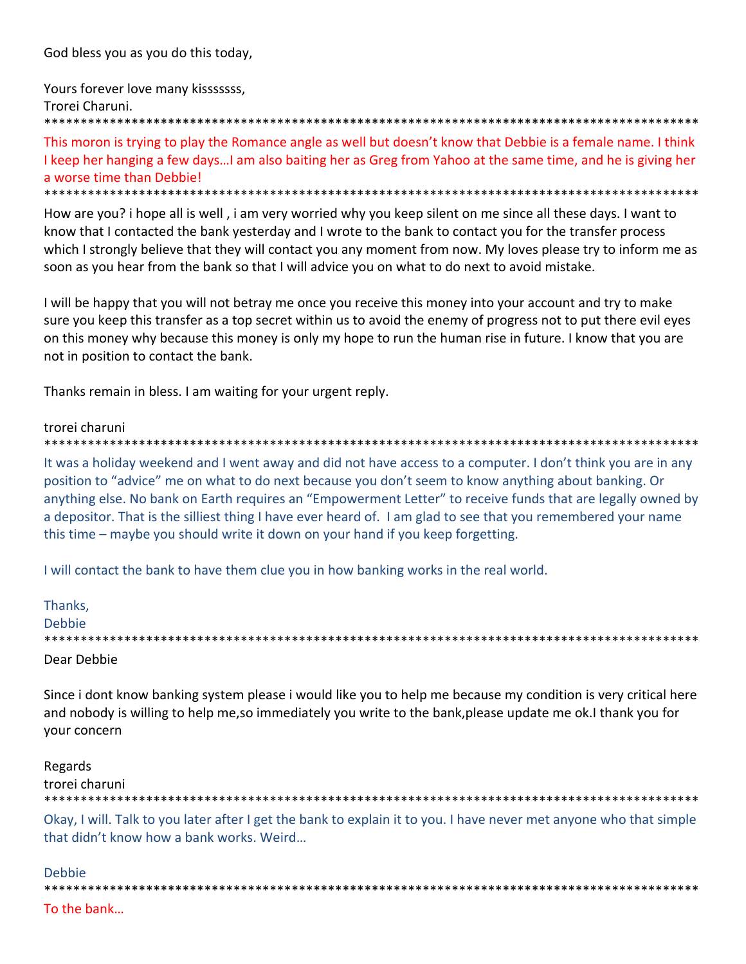God bless you as you do this today,

Yours forever love many kisssssss, Trorei Charuni. 

This moron is trying to play the Romance angle as well but doesn't know that Debbie is a female name. I think I keep her hanging a few days...I am also baiting her as Greg from Yahoo at the same time, and he is giving her a worse time than Debbie! \*\*\*\*\*\*\*\*\*\*\*\*\*\*\*\*\*\*\*\*\*\*\*\*\*\*\*\*\*\*\*\*\*

How are you? i hope all is well, i am very worried why you keep silent on me since all these days. I want to know that I contacted the bank yesterday and I wrote to the bank to contact you for the transfer process which I strongly believe that they will contact you any moment from now. My loves please try to inform me as soon as you hear from the bank so that I will advice you on what to do next to avoid mistake.

I will be happy that you will not betray me once you receive this money into your account and try to make sure you keep this transfer as a top secret within us to avoid the enemy of progress not to put there evil eyes on this money why because this money is only my hope to run the human rise in future. I know that you are not in position to contact the bank.

Thanks remain in bless. I am waiting for your urgent reply.

#### trorei charuni

It was a holiday weekend and I went away and did not have access to a computer. I don't think you are in any position to "advice" me on what to do next because you don't seem to know anything about banking. Or anything else. No bank on Earth requires an "Empowerment Letter" to receive funds that are legally owned by a depositor. That is the silliest thing I have ever heard of. I am glad to see that you remembered your name this time - maybe you should write it down on your hand if you keep forgetting.

I will contact the bank to have them clue you in how banking works in the real world.

| Thanks,       |
|---------------|
| <b>Debbie</b> |
|               |
| Dear Debbie   |

Since i dont know banking system please i would like you to help me because my condition is very critical here and nobody is willing to help me, so immediately you write to the bank, please update me ok. I thank you for vour concern

Regards trorei charuni 

Okay, I will. Talk to you later after I get the bank to explain it to you. I have never met anyone who that simple that didn't know how a bank works. Weird...

Debbie

To the bank...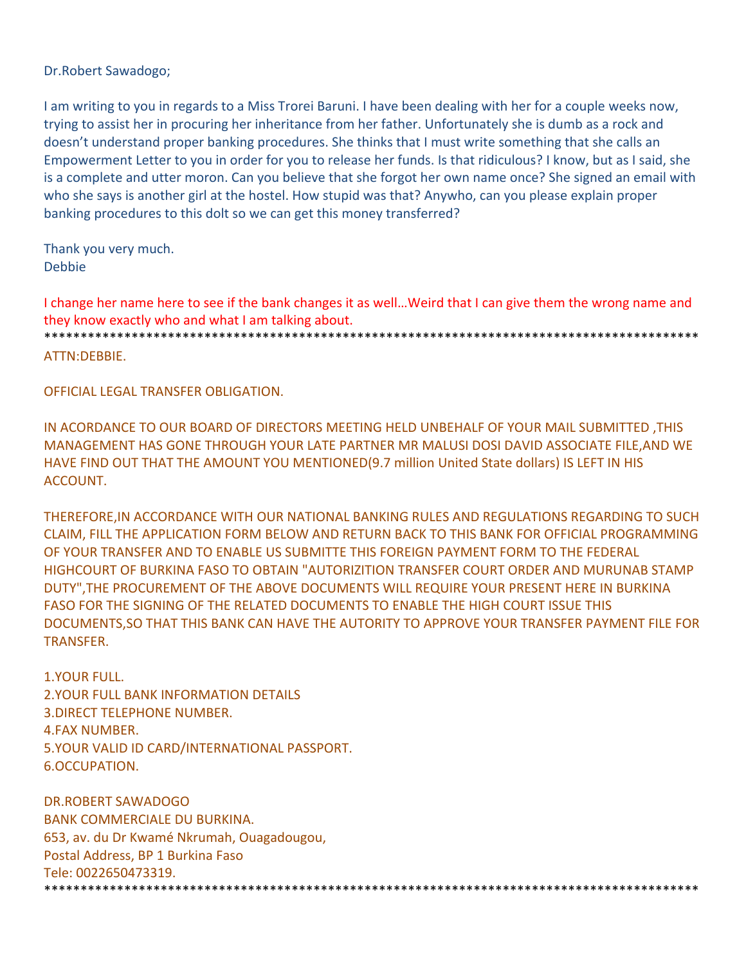Dr.Robert Sawadogo;

I am writing to you in regards to a Miss Trorei Baruni. I have been dealing with her for a couple weeks now, trying to assist her in procuring her inheritance from her father. Unfortunately she is dumb as a rock and doesn't understand proper banking procedures. She thinks that I must write something that she calls an Empowerment Letter to you in order for you to release her funds. Is that ridiculous? I know, but as I said, she is a complete and utter moron. Can you believe that she forgot her own name once? She signed an email with who she says is another girl at the hostel. How stupid was that? Anywho, can you please explain proper banking procedures to this dolt so we can get this money transferred?

Thank you very much. Debbie

I change her name here to see if the bank changes it as well…Weird that I can give them the wrong name and they know exactly who and what I am talking about.

\*\*\*\*\*\*\*\*\*\*\*\*\*\*\*\*\*\*\*\*\*\*\*\*\*\*\*\*\*\*\*\*\*\*\*\*\*\*\*\*\*\*\*\*\*\*\*\*\*\*\*\*\*\*\*\*\*\*\*\*\*\*\*\*\*\*\*\*\*\*\*\*\*\*\*\*\*\*\*\*\*\*\*\*\*\*\*\*\*\* ATTN:DEBBIE.

OFFICIAL LEGAL TRANSFER OBLIGATION.

IN ACORDANCE TO OUR BOARD OF DIRECTORS MEETING HELD UNBEHALF OF YOUR MAIL SUBMITTED ,THIS MANAGEMENT HAS GONE THROUGH YOUR LATE PARTNER MR MALUSI DOSI DAVID ASSOCIATE FILE,AND WE HAVE FIND OUT THAT THE AMOUNT YOU MENTIONED(9.7 million United State dollars) IS LEFT IN HIS ACCOUNT.

THEREFORE,IN ACCORDANCE WITH OUR NATIONAL BANKING RULES AND REGULATIONS REGARDING TO SUCH CLAIM, FILL THE APPLICATION FORM BELOW AND RETURN BACK TO THIS BANK FOR OFFICIAL PROGRAMMING OF YOUR TRANSFER AND TO ENABLE US SUBMITTE THIS FOREIGN PAYMENT FORM TO THE FEDERAL HIGHCOURT OF BURKINA FASO TO OBTAIN "AUTORIZITION TRANSFER COURT ORDER AND MURUNAB STAMP DUTY",THE PROCUREMENT OF THE ABOVE DOCUMENTS WILL REQUIRE YOUR PRESENT HERE IN BURKINA FASO FOR THE SIGNING OF THE RELATED DOCUMENTS TO ENABLE THE HIGH COURT ISSUE THIS DOCUMENTS,SO THAT THIS BANK CAN HAVE THE AUTORITY TO APPROVE YOUR TRANSFER PAYMENT FILE FOR TRANSFER.

1.YOUR FULL. 2.YOUR FULL BANK INFORMATION DETAILS 3.DIRECT TELEPHONE NUMBER. 4.FAX NUMBER. 5.YOUR VALID ID CARD/INTERNATIONAL PASSPORT. 6.OCCUPATION.

DR.ROBERT SAWADOGO BANK COMMERCIALE DU BURKINA. 653, av. du Dr Kwamé Nkrumah, Ouagadougou, Postal Address, BP 1 Burkina Faso Tele: 0022650473319. \*\*\*\*\*\*\*\*\*\*\*\*\*\*\*\*\*\*\*\*\*\*\*\*\*\*\*\*\*\*\*\*\*\*\*\*\*\*\*\*\*\*\*\*\*\*\*\*\*\*\*\*\*\*\*\*\*\*\*\*\*\*\*\*\*\*\*\*\*\*\*\*\*\*\*\*\*\*\*\*\*\*\*\*\*\*\*\*\*\*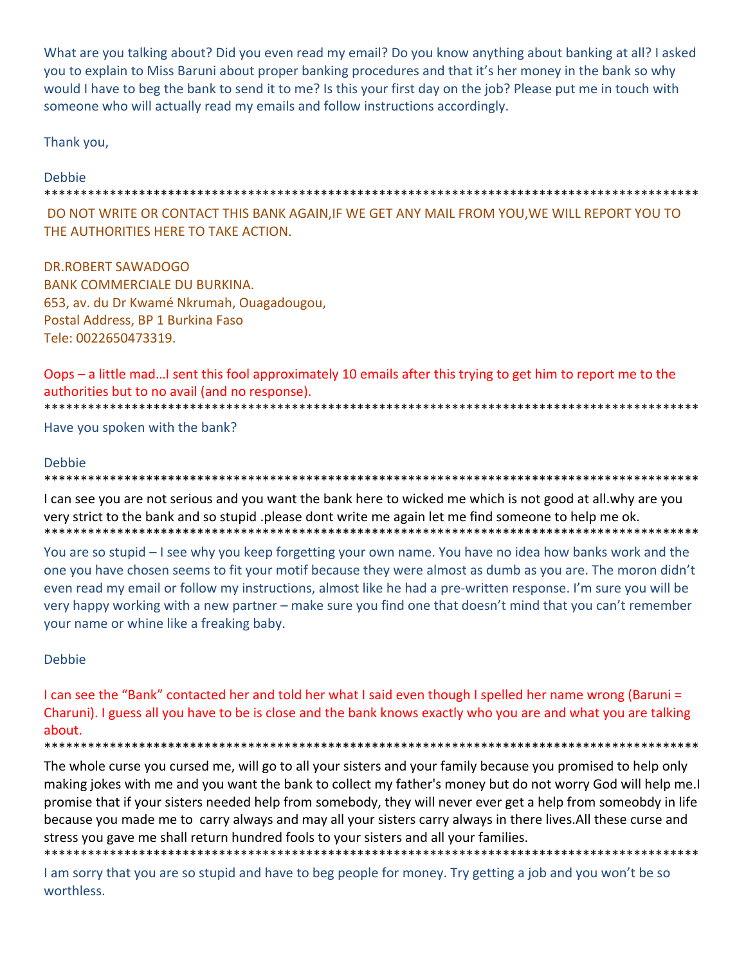What are you talking about? Did you even read my email? Do you know anything about banking at all? I asked you to explain to Miss Baruni about proper banking procedures and that it's her money in the bank so why would I have to beg the bank to send it to me? Is this your first day on the job? Please put me in touch with someone who will actually read my emails and follow instructions accordingly.

Thank you,

# Debbie

#### \*\*\*\*\*\*\*\*\*\*\*\*\*\*\*\*\*\*\*\*\*\*\*\*\*\*\*\*\*\* \*\*\*\*\*\*\*\*\*

DO NOT WRITE OR CONTACT THIS BANK AGAIN, IF WE GET ANY MAIL FROM YOU, WE WILL REPORT YOU TO THE AUTHORITIES HERE TO TAKE ACTION.

**DR.ROBERT SAWADOGO BANK COMMERCIALE DU BURKINA.** 653, av. du Dr Kwamé Nkrumah, Ouagadougou, Postal Address, BP 1 Burkina Faso Tele: 0022650473319.

Oops - a little mad...I sent this fool approximately 10 emails after this trying to get him to report me to the authorities but to no avail (and no response). \*\*\*\*\*\*\*\*\*\*\*\*\*\*\*\*\*\*\*\*\*\*\*\* 

Have you spoken with the bank?

## Debbie

\*\*\*\*\*\*\*\*\*\*\*\*\*\*\*\*\*\* \*\*\*\*\*\*\*\*\*\*\*\*\*\*\*\*\*\*\*\*\*\*\*\*

I can see you are not serious and you want the bank here to wicked me which is not good at all. why are you very strict to the bank and so stupid .please dont write me again let me find someone to help me ok. \*\*\*\*\*\*\*\*\*\*\*\*\*\*\*\*\*\*\*\*\*\*\*\*\*\*\*\*\*\*\*

You are so stupid – I see why you keep forgetting your own name. You have no idea how banks work and the one you have chosen seems to fit your motif because they were almost as dumb as you are. The moron didn't even read my email or follow my instructions, almost like he had a pre-written response. I'm sure you will be very happy working with a new partner – make sure you find one that doesn't mind that you can't remember your name or whine like a freaking baby.

## Debbie

I can see the "Bank" contacted her and told her what I said even though I spelled her name wrong (Baruni = Charuni). I guess all you have to be is close and the bank knows exactly who you are and what you are talking about.

The whole curse you cursed me, will go to all your sisters and your family because you promised to help only making jokes with me and you want the bank to collect my father's money but do not worry God will help me. I promise that if your sisters needed help from somebody, they will never ever get a help from someobdy in life because you made me to carry always and may all your sisters carry always in there lives. All these curse and stress you gave me shall return hundred fools to your sisters and all your families.

I am sorry that you are so stupid and have to beg people for money. Try getting a job and you won't be so worthless.